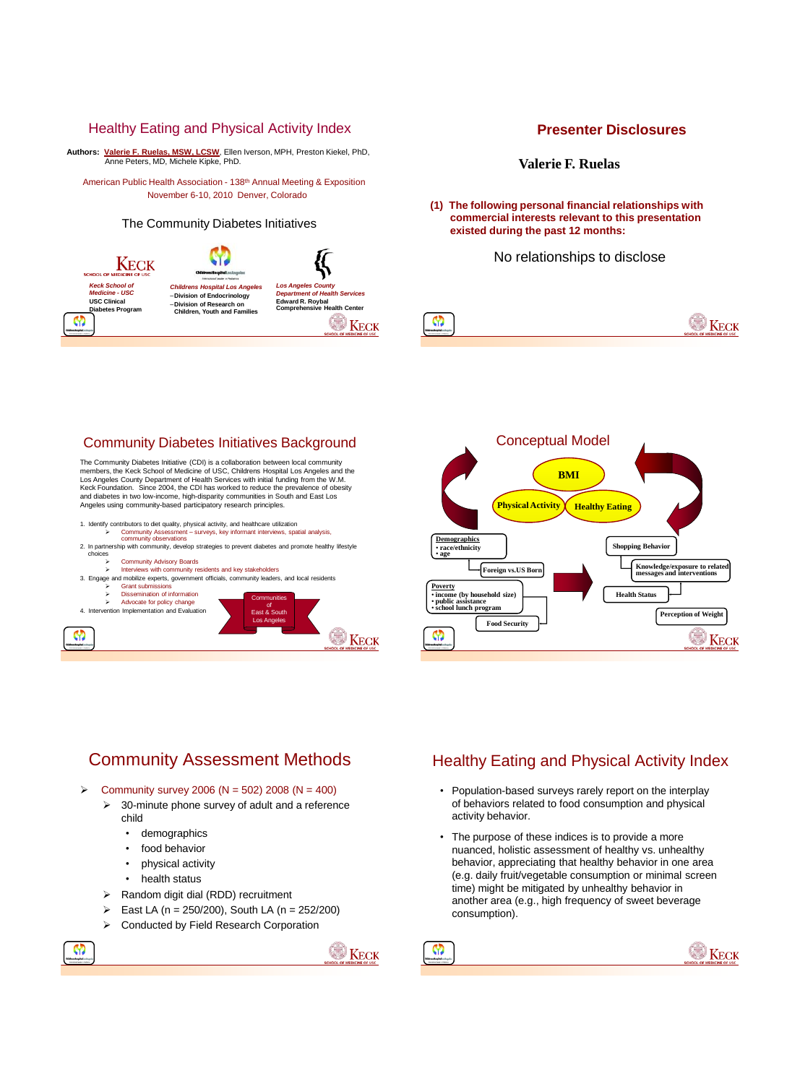### Healthy Eating and Physical Activity Index

**Authors: Valerie F. Ruelas, MSW, LCSW**, Ellen Iverson, MPH, Preston Kiekel, PhD, Anne Peters, MD, Michele Kipke, PhD.

American Public Health Association - 138th Annual Meeting & Exposition November 6-10, 2010 Denver, Colorado

#### The Community Diabetes Initiatives

# W Keck

*Keck School of Medicine - USC* **USC Clinical Diabetes Program**

M

*Childrens Hospital Los Angeles* –**Division of Endocrinology**  –**Division of Research on Children, Youth and Familie** 



### **Presenter Disclosures**

**Valerie F. Ruelas**

**(1) The following personal financial relationships with commercial interests relevant to this presentation existed during the past 12 months:**

No relationships to disclose



### Community Diabetes Initiatives Background

The Community Diabetes Initiative (CDI) is a collaboration between local community members, the Keck School of Medicine of USC, Childrens Hospital Los Angeles and the Los Angeles County Department of Health Services with initial funding from the W.M. Keck Foundation. Since 2004, the CDI has worked to reduce the prevalence of obesity and diabetes in two low-income, high-disparity communities in South and East Los Angeles using community-based participatory research principles.

- 1. Identity contributors to diet quality, physical activity, and healthcare utilization is<br>in the film of the sustance of the surveys, key informant interviews, spatial analysis,<br>2. In partnership with community, develop
- 





# Community Assessment Methods

 $\triangleright$  Community survey 2006 (N = 502) 2008 (N = 400)

- $\geq$  30-minute phone survey of adult and a reference child
	- demographics
	- food behavior
	- physical activity
	- health status

M)

- $\triangleright$  Random digit dial (RDD) recruitment
- East LA (n = 250/200), South LA (n = 252/200)
- Conducted by Field Research Corporation



M

## Healthy Eating and Physical Activity Index

- Population-based surveys rarely report on the interplay of behaviors related to food consumption and physical activity behavior.
- The purpose of these indices is to provide a more nuanced, holistic assessment of healthy vs. unhealthy behavior, appreciating that healthy behavior in one area (e.g. daily fruit/vegetable consumption or minimal screen time) might be mitigated by unhealthy behavior in another area (e.g., high frequency of sweet beverage consumption).

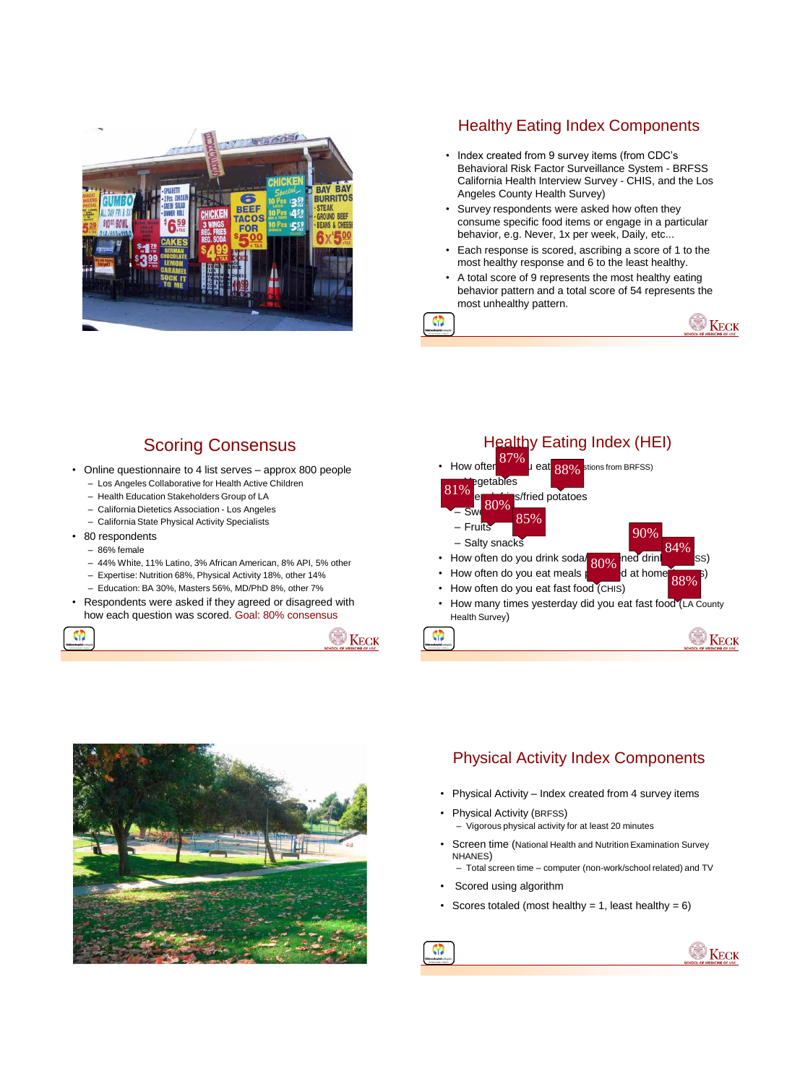

## Healthy Eating Index Components

- Index created from 9 survey items (from CDC's Behavioral Risk Factor Surveillance System - BRFSS California Health Interview Survey - CHIS, and the Los Angeles County Health Survey)
- Survey respondents were asked how often they consume specific food items or engage in a particular behavior, e.g. Never, 1x per week, Daily, etc...
- Each response is scored, ascribing a score of 1 to the most healthy response and 6 to the least healthy.
- A total score of 9 represents the most healthy eating behavior pattern and a total score of 54 represents the most unhealthy pattern.



# Scoring Consensus

- Online questionnaire to 4 list serves approx 800 people
	- Los Angeles Collaborative for Health Active Children
	- Health Education Stakeholders Group of LA
	- California Dietetics Association Los Angeles
	- California State Physical Activity Specialists
- 80 respondents
	- 86% female
	- 44% White, 11% Latino, 3% African American, 8% API, 5% other
	- Expertise: Nutrition 68%, Physical Activity 18%, other 14%
	- Education: BA 30%, Masters 56%, MD/PhD 8%, other 7%
- Respondents were asked if they agreed or disagreed with how each question was scored. Goal: 80% consensus









## Physical Activity Index Components

- Physical Activity Index created from 4 survey items
- Physical Activity (BRFSS) – Vigorous physical activity for at least 20 minutes
- Screen time (National Health and Nutrition Examination Survey NHANES) – Total screen time – computer (non-work/school related) and TV
- Scored using algorithm

M

• Scores totaled (most healthy = 1, least healthy =  $6$ )